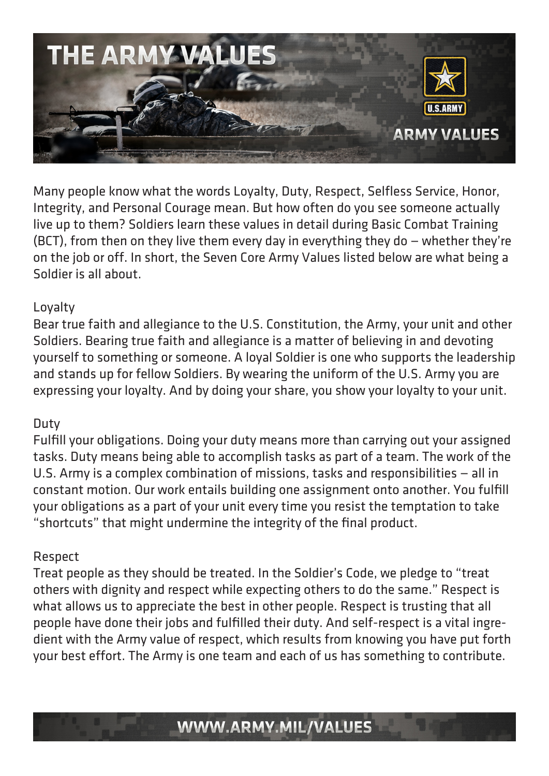

Many people know what the words Loyalty, Duty, Respect, Selfless Service, Honor, Integrity, and Personal Courage mean. But how often do you see someone actually live up to them? Soldiers learn these values in detail during Basic Combat Training (BCT), from then on they live them every day in everything they do  $-$  whether they're on the job or off. In short, the Seven Core Army Values listed below are what being a Soldier is all about.

### Loyalty

Bear true faith and allegiance to the U.S. Constitution, the Army, your unit and other Soldiers. Bearing true faith and allegiance is a matter of believing in and devoting yourself to something or someone. A loyal Soldier is one who supports the leadership and stands up for fellow Soldiers. By wearing the uniform of the U.S. Army you are expressing your loyalty. And by doing your share, you show your loyalty to your unit.

## Duty

Fulfill your obligations. Doing your duty means more than carrying out your assigned tasks. Duty means being able to accomplish tasks as part of a team. The work of the U.S. Army is a complex combination of missions, tasks and responsibilities — all in constant motion. Our work entails building one assignment onto another. You fulfill your obligations as a part of your unit every time you resist the temptation to take "shortcuts" that might undermine the integrity of the final product.

### Respect

Treat people as they should be treated. In the Soldier's Code, we pledge to "treat others with dignity and respect while expecting others to do the same." Respect is what allows us to appreciate the best in other people. Respect is trusting that all people have done their jobs and fulfilled their duty. And self-respect is a vital ingredient with the Army value of respect, which results from knowing you have put forth your best effort. The Army is one team and each of us has something to contribute.